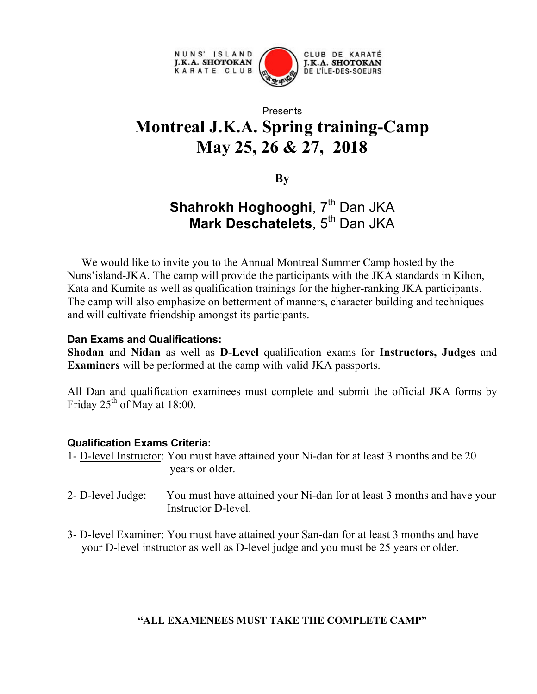

# Presents **Montreal J.K.A. Spring training-Camp May 25, 26 & 27, 2018**

**By**

# **Shahrokh Hoghooghi**, 7<sup>th</sup> Dan JKA **Mark Deschatelets**, 5<sup>th</sup> Dan JKA

 We would like to invite you to the Annual Montreal Summer Camp hosted by the Nuns'island-JKA. The camp will provide the participants with the JKA standards in Kihon, Kata and Kumite as well as qualification trainings for the higher-ranking JKA participants. The camp will also emphasize on betterment of manners, character building and techniques and will cultivate friendship amongst its participants.

## **Dan Exams and Qualifications:**

**Shodan** and **Nidan** as well as **D-Level** qualification exams for **Instructors, Judges** and **Examiners** will be performed at the camp with valid JKA passports.

All Dan and qualification examinees must complete and submit the official JKA forms by Friday  $25<sup>th</sup>$  of May at 18:00.

## **Qualification Exams Criteria:**

- 1- D-level Instructor: You must have attained your Ni-dan for at least 3 months and be 20 years or older.
- 2- D-level Judge: You must have attained your Ni-dan for at least 3 months and have your Instructor D-level.
- 3- D-level Examiner: You must have attained your San-dan for at least 3 months and have your D-level instructor as well as D-level judge and you must be 25 years or older.

# **"ALL EXAMENEES MUST TAKE THE COMPLETE CAMP"**